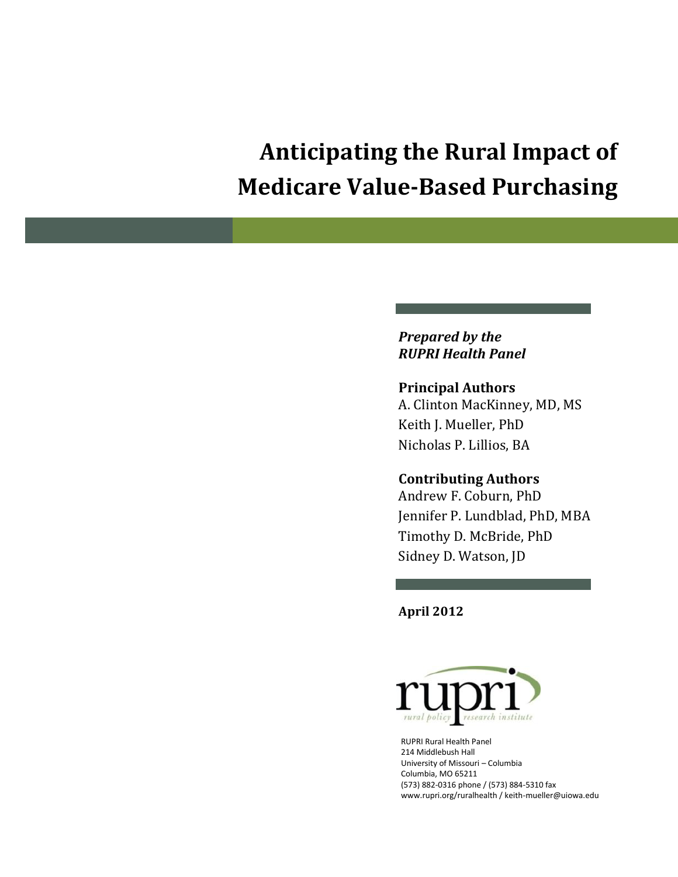# **Anticipating the Rural Impact of Medicare Value-Based Purchasing**

#### *Prepared by the RUPRI Health Panel*

#### **Principal Authors**

A. Clinton MacKinney, MD, MS Keith J. Mueller, PhD Nicholas P. Lillios, BA

#### **Contributing Authors**

Andrew F. Coburn, PhD Jennifer P. Lundblad, PhD, MBA Timothy D. McBride, PhD Sidney D. Watson, JD

**April 2012**



RUPRI Rural Health Panel 214 Middlebush Hall University of Missouri – Columbia Columbia, MO 65211 (573) 882-0316 phone / (573) 884-5310 fax www.rupri.org/ruralhealth / keith-mueller@uiowa.edu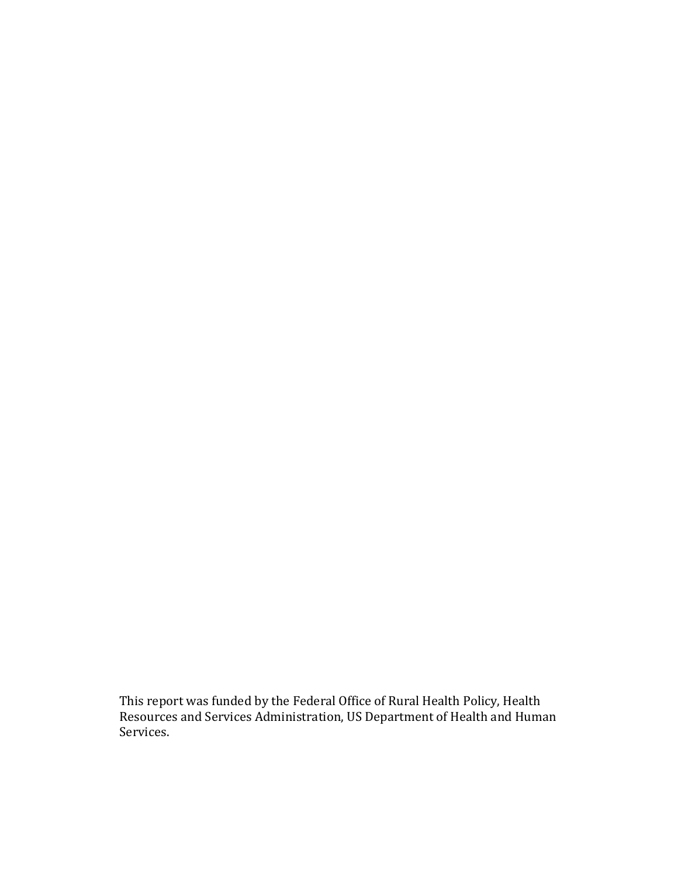This report was funded by the Federal Office of Rural Health Policy, Health Resources and Services Administration, US Department of Health and Human Services.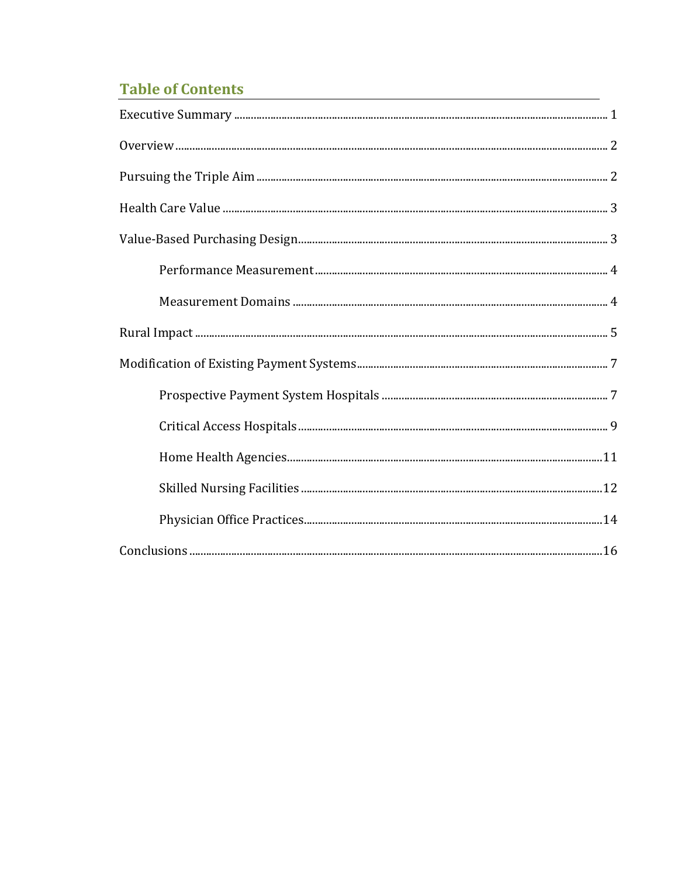# **Table of Contents**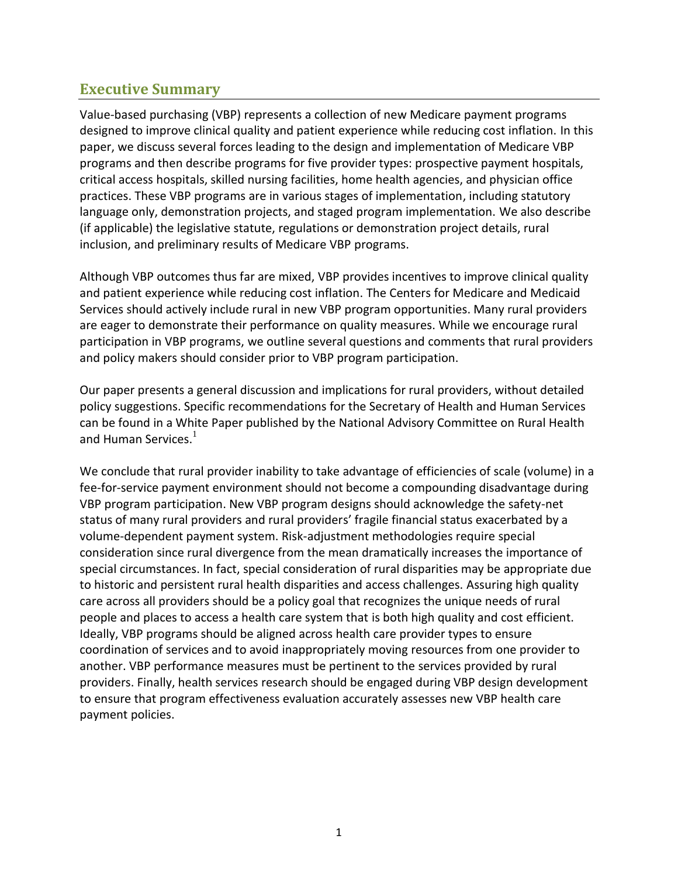### **Executive Summary**

Value-based purchasing (VBP) represents a collection of new Medicare payment programs designed to improve clinical quality and patient experience while reducing cost inflation. In this paper, we discuss several forces leading to the design and implementation of Medicare VBP programs and then describe programs for five provider types: prospective payment hospitals, critical access hospitals, skilled nursing facilities, home health agencies, and physician office practices. These VBP programs are in various stages of implementation, including statutory language only, demonstration projects, and staged program implementation. We also describe (if applicable) the legislative statute, regulations or demonstration project details, rural inclusion, and preliminary results of Medicare VBP programs.

Although VBP outcomes thus far are mixed, VBP provides incentives to improve clinical quality and patient experience while reducing cost inflation. The Centers for Medicare and Medicaid Services should actively include rural in new VBP program opportunities. Many rural providers are eager to demonstrate their performance on quality measures. While we encourage rural participation in VBP programs, we outline several questions and comments that rural providers and policy makers should consider prior to VBP program participation.

Our paper presents a general discussion and implications for rural providers, without detailed policy suggestions. Specific recommendations for the Secretary of Health and Human Services can be found in a White Paper published by the National Advisory Committee on Rural Health and Human Services. $<sup>1</sup>$ </sup>

We conclude that rural provider inability to take advantage of efficiencies of scale (volume) in a fee-for-service payment environment should not become a compounding disadvantage during VBP program participation. New VBP program designs should acknowledge the safety-net status of many rural providers and rural providers' fragile financial status exacerbated by a volume-dependent payment system. Risk-adjustment methodologies require special consideration since rural divergence from the mean dramatically increases the importance of special circumstances. In fact, special consideration of rural disparities may be appropriate due to historic and persistent rural health disparities and access challenges. Assuring high quality care across all providers should be a policy goal that recognizes the unique needs of rural people and places to access a health care system that is both high quality and cost efficient. Ideally, VBP programs should be aligned across health care provider types to ensure coordination of services and to avoid inappropriately moving resources from one provider to another. VBP performance measures must be pertinent to the services provided by rural providers. Finally, health services research should be engaged during VBP design development to ensure that program effectiveness evaluation accurately assesses new VBP health care payment policies.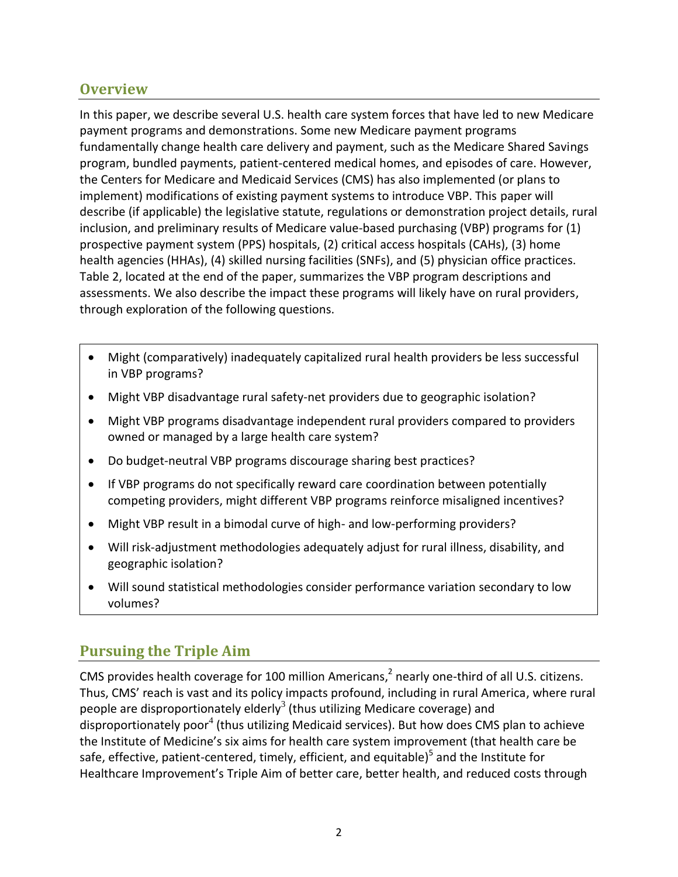### **Overview**

In this paper, we describe several U.S. health care system forces that have led to new Medicare payment programs and demonstrations. Some new Medicare payment programs fundamentally change health care delivery and payment, such as the Medicare Shared Savings program, bundled payments, patient-centered medical homes, and episodes of care. However, the Centers for Medicare and Medicaid Services (CMS) has also implemented (or plans to implement) modifications of existing payment systems to introduce VBP. This paper will describe (if applicable) the legislative statute, regulations or demonstration project details, rural inclusion, and preliminary results of Medicare value-based purchasing (VBP) programs for (1) prospective payment system (PPS) hospitals, (2) critical access hospitals (CAHs), (3) home health agencies (HHAs), (4) skilled nursing facilities (SNFs), and (5) physician office practices. Table 2, located at the end of the paper, summarizes the VBP program descriptions and assessments. We also describe the impact these programs will likely have on rural providers, through exploration of the following questions.

- Might (comparatively) inadequately capitalized rural health providers be less successful in VBP programs?
- Might VBP disadvantage rural safety-net providers due to geographic isolation?
- Might VBP programs disadvantage independent rural providers compared to providers owned or managed by a large health care system?
- Do budget-neutral VBP programs discourage sharing best practices?
- If VBP programs do not specifically reward care coordination between potentially competing providers, might different VBP programs reinforce misaligned incentives?
- Might VBP result in a bimodal curve of high- and low-performing providers?
- Will risk-adjustment methodologies adequately adjust for rural illness, disability, and geographic isolation?
- Will sound statistical methodologies consider performance variation secondary to low volumes?

# **Pursuing the Triple Aim**

CMS provides health coverage for 100 million Americans, $^2$  nearly one-third of all U.S. citizens. Thus, CMS' reach is vast and its policy impacts profound, including in rural America, where rural people are disproportionately elderly<sup>3</sup> (thus utilizing Medicare coverage) and disproportionately poor<sup>4</sup> (thus utilizing Medicaid services). But how does CMS plan to achieve the Institute of Medicine's six aims for health care system improvement (that health care be safe, effective, patient-centered, timely, efficient, and equitable)<sup>5</sup> and the Institute for Healthcare Improvement's Triple Aim of better care, better health, and reduced costs through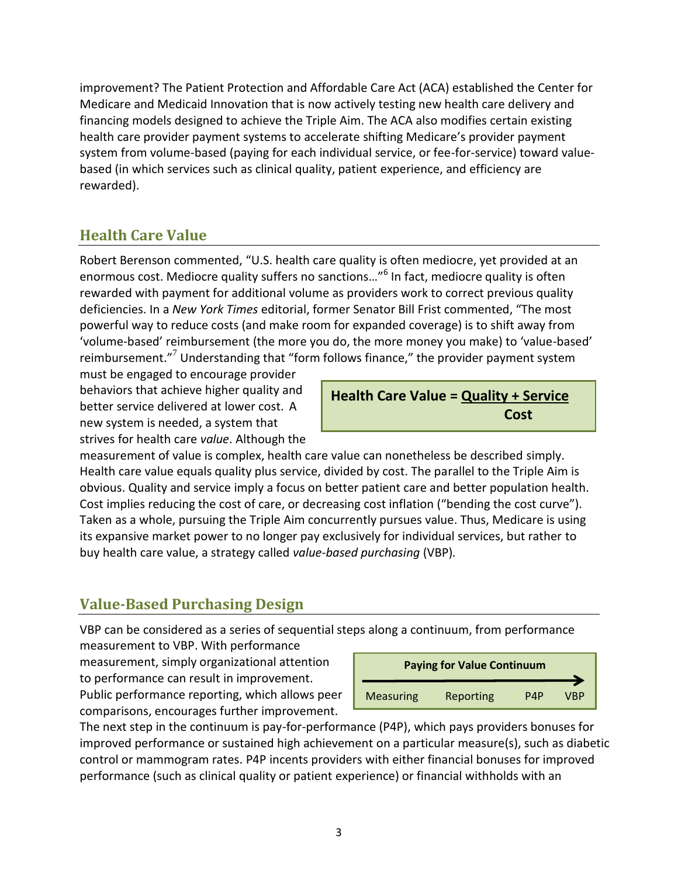improvement? The Patient Protection and Affordable Care Act (ACA) established the Center for Medicare and Medicaid Innovation that is now actively testing new health care delivery and financing models designed to achieve the Triple Aim. The ACA also modifies certain existing health care provider payment systems to accelerate shifting Medicare's provider payment system from volume-based (paying for each individual service, or fee-for-service) toward valuebased (in which services such as clinical quality, patient experience, and efficiency are rewarded).

# **Health Care Value**

Robert Berenson commented, "U.S. health care quality is often mediocre, yet provided at an enormous cost. Mediocre quality suffers no sanctions..."<sup>6</sup> In fact, mediocre quality is often rewarded with payment for additional volume as providers work to correct previous quality deficiencies. In a *New York Times* editorial, former Senator Bill Frist commented, "The most powerful way to reduce costs (and make room for expanded coverage) is to shift away from 'volume-based' reimbursement (the more you do, the more money you make) to 'value-based' reimbursement."<sup>7</sup> Understanding that "form follows finance," the provider payment system

must be engaged to encourage provider behaviors that achieve higher quality and better service delivered at lower cost. A new system is needed, a system that strives for health care *value*. Although the

## **Health Care Value = Quality + Service Cost**

measurement of value is complex, health care value can nonetheless be described simply. Health care value equals quality plus service, divided by cost. The parallel to the Triple Aim is obvious. Quality and service imply a focus on better patient care and better population health. Cost implies reducing the cost of care, or decreasing cost inflation ("bending the cost curve"). Taken as a whole, pursuing the Triple Aim concurrently pursues value. Thus, Medicare is using its expansive market power to no longer pay exclusively for individual services, but rather to buy health care value, a strategy called *value-based purchasing* (VBP)*.*

# **Value-Based Purchasing Design**

VBP can be considered as a series of sequential steps along a continuum, from performance

measurement to VBP. With performance measurement, simply organizational attention to performance can result in improvement. Public performance reporting, which allows peer comparisons, encourages further improvement.

| <b>Paying for Value Continuum</b> |           |     |     |  |  |
|-----------------------------------|-----------|-----|-----|--|--|
| <b>Measuring</b>                  | Reporting | P4P | VBP |  |  |

The next step in the continuum is pay-for-performance (P4P), which pays providers bonuses for improved performance or sustained high achievement on a particular measure(s), such as diabetic control or mammogram rates. P4P incents providers with either financial bonuses for improved performance (such as clinical quality or patient experience) or financial withholds with an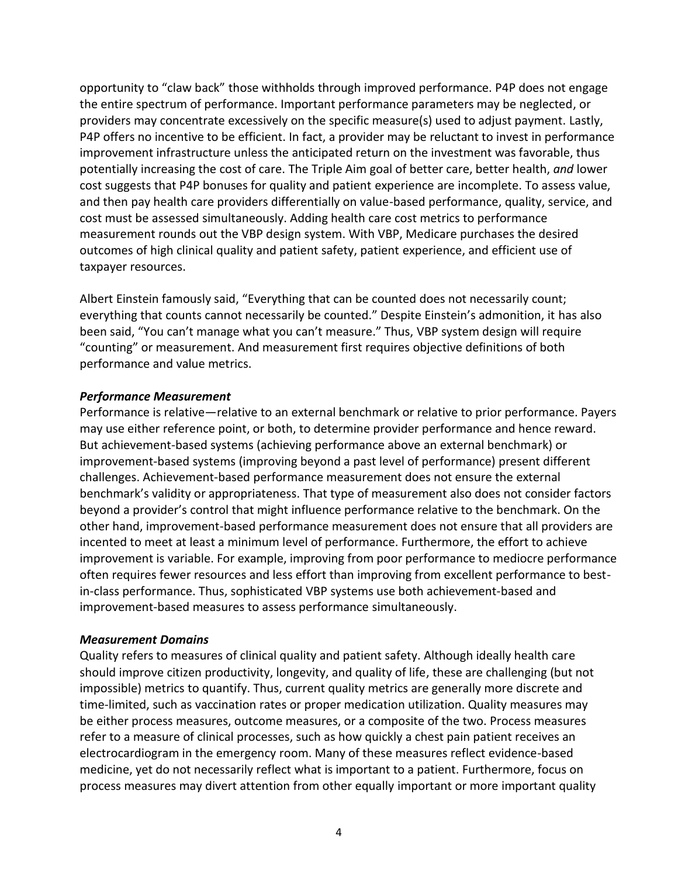opportunity to "claw back" those withholds through improved performance. P4P does not engage the entire spectrum of performance. Important performance parameters may be neglected, or providers may concentrate excessively on the specific measure(s) used to adjust payment. Lastly, P4P offers no incentive to be efficient. In fact, a provider may be reluctant to invest in performance improvement infrastructure unless the anticipated return on the investment was favorable, thus potentially increasing the cost of care. The Triple Aim goal of better care, better health, *and* lower cost suggests that P4P bonuses for quality and patient experience are incomplete. To assess value, and then pay health care providers differentially on value-based performance, quality, service, and cost must be assessed simultaneously. Adding health care cost metrics to performance measurement rounds out the VBP design system. With VBP, Medicare purchases the desired outcomes of high clinical quality and patient safety, patient experience, and efficient use of taxpayer resources.

Albert Einstein famously said, "Everything that can be counted does not necessarily count; everything that counts cannot necessarily be counted." Despite Einstein's admonition, it has also been said, "You can't manage what you can't measure." Thus, VBP system design will require "counting" or measurement. And measurement first requires objective definitions of both performance and value metrics.

#### *Performance Measurement*

Performance is relative—relative to an external benchmark or relative to prior performance. Payers may use either reference point, or both, to determine provider performance and hence reward. But achievement-based systems (achieving performance above an external benchmark) or improvement-based systems (improving beyond a past level of performance) present different challenges. Achievement-based performance measurement does not ensure the external benchmark's validity or appropriateness. That type of measurement also does not consider factors beyond a provider's control that might influence performance relative to the benchmark. On the other hand, improvement-based performance measurement does not ensure that all providers are incented to meet at least a minimum level of performance. Furthermore, the effort to achieve improvement is variable. For example, improving from poor performance to mediocre performance often requires fewer resources and less effort than improving from excellent performance to bestin-class performance. Thus, sophisticated VBP systems use both achievement-based and improvement-based measures to assess performance simultaneously.

#### *Measurement Domains*

Quality refers to measures of clinical quality and patient safety. Although ideally health care should improve citizen productivity, longevity, and quality of life, these are challenging (but not impossible) metrics to quantify. Thus, current quality metrics are generally more discrete and time-limited, such as vaccination rates or proper medication utilization. Quality measures may be either process measures, outcome measures, or a composite of the two. Process measures refer to a measure of clinical processes, such as how quickly a chest pain patient receives an electrocardiogram in the emergency room. Many of these measures reflect evidence-based medicine, yet do not necessarily reflect what is important to a patient. Furthermore, focus on process measures may divert attention from other equally important or more important quality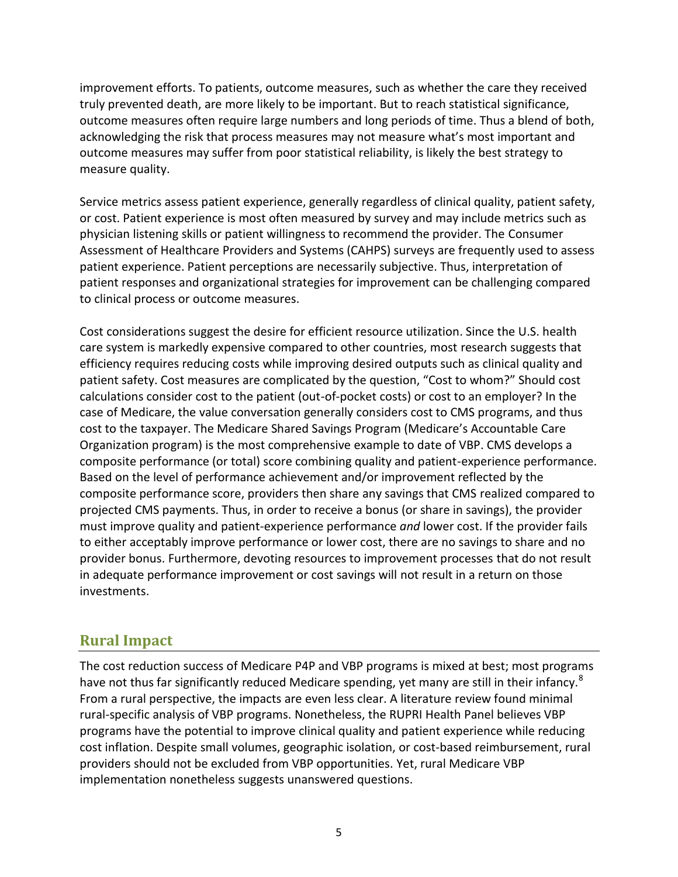improvement efforts. To patients, outcome measures, such as whether the care they received truly prevented death, are more likely to be important. But to reach statistical significance, outcome measures often require large numbers and long periods of time. Thus a blend of both, acknowledging the risk that process measures may not measure what's most important and outcome measures may suffer from poor statistical reliability, is likely the best strategy to measure quality.

Service metrics assess patient experience, generally regardless of clinical quality, patient safety, or cost. Patient experience is most often measured by survey and may include metrics such as physician listening skills or patient willingness to recommend the provider. The Consumer Assessment of Healthcare Providers and Systems (CAHPS) surveys are frequently used to assess patient experience. Patient perceptions are necessarily subjective. Thus, interpretation of patient responses and organizational strategies for improvement can be challenging compared to clinical process or outcome measures.

Cost considerations suggest the desire for efficient resource utilization. Since the U.S. health care system is markedly expensive compared to other countries, most research suggests that efficiency requires reducing costs while improving desired outputs such as clinical quality and patient safety. Cost measures are complicated by the question, "Cost to whom?" Should cost calculations consider cost to the patient (out-of-pocket costs) or cost to an employer? In the case of Medicare, the value conversation generally considers cost to CMS programs, and thus cost to the taxpayer. The Medicare Shared Savings Program (Medicare's Accountable Care Organization program) is the most comprehensive example to date of VBP. CMS develops a composite performance (or total) score combining quality and patient-experience performance. Based on the level of performance achievement and/or improvement reflected by the composite performance score, providers then share any savings that CMS realized compared to projected CMS payments. Thus, in order to receive a bonus (or share in savings), the provider must improve quality and patient-experience performance *and* lower cost. If the provider fails to either acceptably improve performance or lower cost, there are no savings to share and no provider bonus. Furthermore, devoting resources to improvement processes that do not result in adequate performance improvement or cost savings will not result in a return on those investments.

### **Rural Impact**

The cost reduction success of Medicare P4P and VBP programs is mixed at best; most programs have not thus far significantly reduced Medicare spending, yet many are still in their infancy.<sup>8</sup> From a rural perspective, the impacts are even less clear. A literature review found minimal rural-specific analysis of VBP programs. Nonetheless, the RUPRI Health Panel believes VBP programs have the potential to improve clinical quality and patient experience while reducing cost inflation. Despite small volumes, geographic isolation, or cost-based reimbursement, rural providers should not be excluded from VBP opportunities. Yet, rural Medicare VBP implementation nonetheless suggests unanswered questions.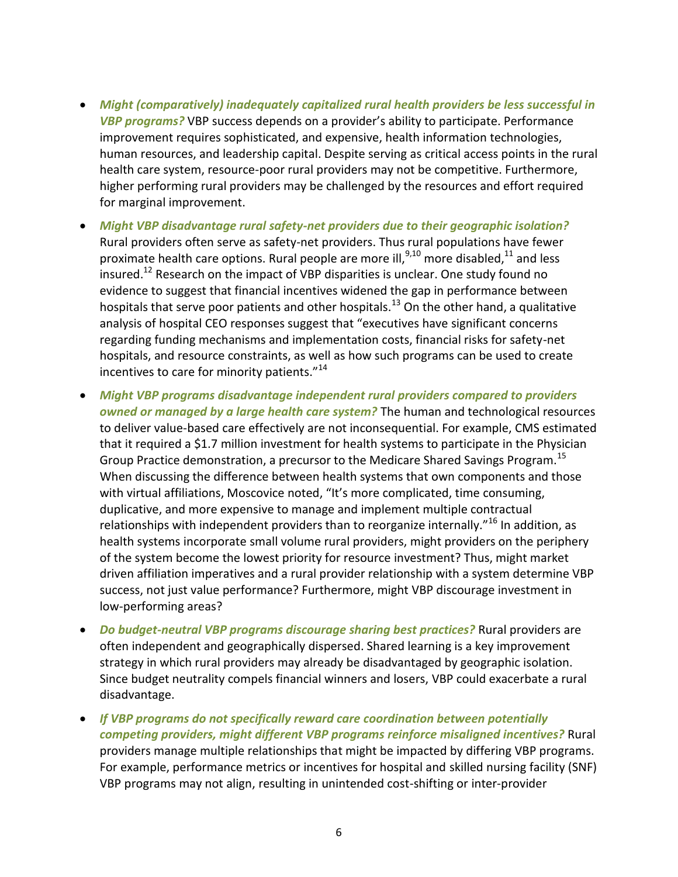- *Might (comparatively) inadequately capitalized rural health providers be less successful in VBP programs?* VBP success depends on a provider's ability to participate. Performance improvement requires sophisticated, and expensive, health information technologies, human resources, and leadership capital. Despite serving as critical access points in the rural health care system, resource-poor rural providers may not be competitive. Furthermore, higher performing rural providers may be challenged by the resources and effort required for marginal improvement.
- *Might VBP disadvantage rural safety-net providers due to their geographic isolation?* Rural providers often serve as safety-net providers. Thus rural populations have fewer proximate health care options. Rural people are more ill,  $9,10$  more disabled,  $11$  and less insured.<sup>12</sup> Research on the impact of VBP disparities is unclear. One study found no evidence to suggest that financial incentives widened the gap in performance between hospitals that serve poor patients and other hospitals.<sup>13</sup> On the other hand, a qualitative analysis of hospital CEO responses suggest that "executives have significant concerns regarding funding mechanisms and implementation costs, financial risks for safety-net hospitals, and resource constraints, as well as how such programs can be used to create incentives to care for minority patients."<sup>14</sup>
- *Might VBP programs disadvantage independent rural providers compared to providers owned or managed by a large health care system?* The human and technological resources to deliver value-based care effectively are not inconsequential. For example, CMS estimated that it required a \$1.7 million investment for health systems to participate in the Physician Group Practice demonstration, a precursor to the Medicare Shared Savings Program.<sup>15</sup> When discussing the difference between health systems that own components and those with virtual affiliations, Moscovice noted, "It's more complicated, time consuming, duplicative, and more expensive to manage and implement multiple contractual relationships with independent providers than to reorganize internally."<sup>16</sup> In addition, as health systems incorporate small volume rural providers, might providers on the periphery of the system become the lowest priority for resource investment? Thus, might market driven affiliation imperatives and a rural provider relationship with a system determine VBP success, not just value performance? Furthermore, might VBP discourage investment in low-performing areas?
- *Do budget-neutral VBP programs discourage sharing best practices?* Rural providers are often independent and geographically dispersed. Shared learning is a key improvement strategy in which rural providers may already be disadvantaged by geographic isolation. Since budget neutrality compels financial winners and losers, VBP could exacerbate a rural disadvantage.
- *If VBP programs do not specifically reward care coordination between potentially competing providers, might different VBP programs reinforce misaligned incentives?* Rural providers manage multiple relationships that might be impacted by differing VBP programs. For example, performance metrics or incentives for hospital and skilled nursing facility (SNF) VBP programs may not align, resulting in unintended cost-shifting or inter-provider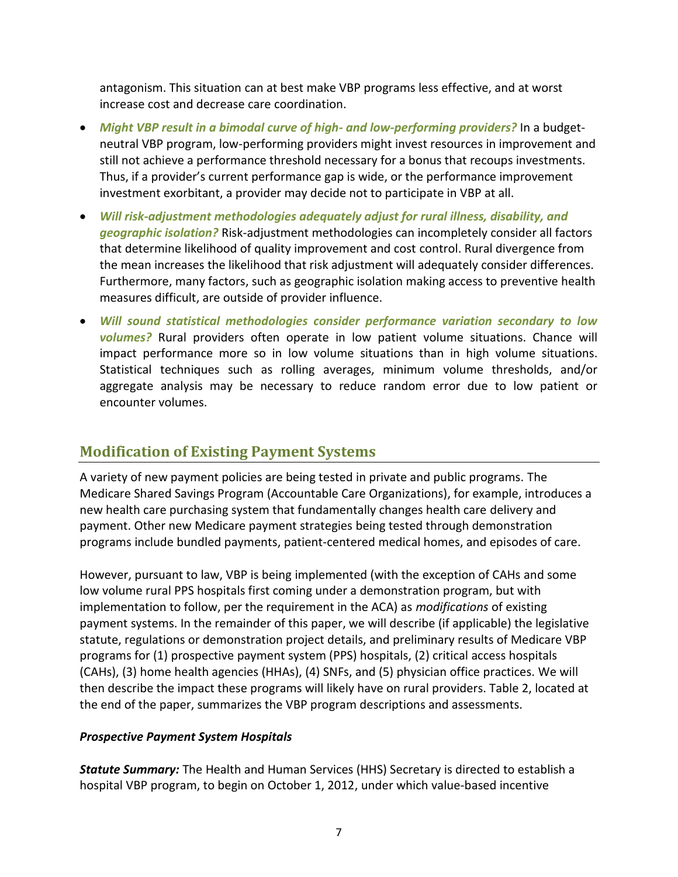antagonism. This situation can at best make VBP programs less effective, and at worst increase cost and decrease care coordination.

- *Might VBP result in a bimodal curve of high- and low-performing providers?* In a budgetneutral VBP program, low-performing providers might invest resources in improvement and still not achieve a performance threshold necessary for a bonus that recoups investments. Thus, if a provider's current performance gap is wide, or the performance improvement investment exorbitant, a provider may decide not to participate in VBP at all.
- *Will risk-adjustment methodologies adequately adjust for rural illness, disability, and geographic isolation?* Risk-adjustment methodologies can incompletely consider all factors that determine likelihood of quality improvement and cost control. Rural divergence from the mean increases the likelihood that risk adjustment will adequately consider differences. Furthermore, many factors, such as geographic isolation making access to preventive health measures difficult, are outside of provider influence.
- *Will sound statistical methodologies consider performance variation secondary to low volumes?* Rural providers often operate in low patient volume situations. Chance will impact performance more so in low volume situations than in high volume situations. Statistical techniques such as rolling averages, minimum volume thresholds, and/or aggregate analysis may be necessary to reduce random error due to low patient or encounter volumes.

### **Modification of Existing Payment Systems**

A variety of new payment policies are being tested in private and public programs. The Medicare Shared Savings Program (Accountable Care Organizations), for example, introduces a new health care purchasing system that fundamentally changes health care delivery and payment. Other new Medicare payment strategies being tested through demonstration programs include bundled payments, patient-centered medical homes, and episodes of care.

However, pursuant to law, VBP is being implemented (with the exception of CAHs and some low volume rural PPS hospitals first coming under a demonstration program, but with implementation to follow, per the requirement in the ACA) as *modifications* of existing payment systems. In the remainder of this paper, we will describe (if applicable) the legislative statute, regulations or demonstration project details, and preliminary results of Medicare VBP programs for (1) prospective payment system (PPS) hospitals, (2) critical access hospitals (CAHs), (3) home health agencies (HHAs), (4) SNFs, and (5) physician office practices. We will then describe the impact these programs will likely have on rural providers. Table 2, located at the end of the paper, summarizes the VBP program descriptions and assessments.

#### *Prospective Payment System Hospitals*

*Statute Summary:* The Health and Human Services (HHS) Secretary is directed to establish a hospital VBP program, to begin on October 1, 2012, under which value-based incentive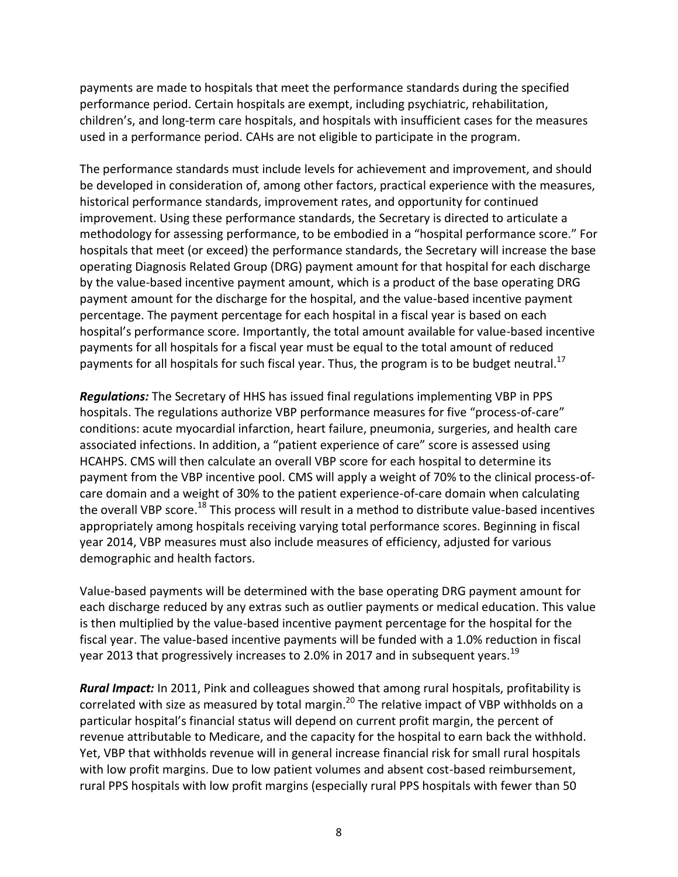payments are made to hospitals that meet the performance standards during the specified performance period. Certain hospitals are exempt, including psychiatric, rehabilitation, children's, and long-term care hospitals, and hospitals with insufficient cases for the measures used in a performance period. CAHs are not eligible to participate in the program.

The performance standards must include levels for achievement and improvement, and should be developed in consideration of, among other factors, practical experience with the measures, historical performance standards, improvement rates, and opportunity for continued improvement. Using these performance standards, the Secretary is directed to articulate a methodology for assessing performance, to be embodied in a "hospital performance score." For hospitals that meet (or exceed) the performance standards, the Secretary will increase the base operating Diagnosis Related Group (DRG) payment amount for that hospital for each discharge by the value-based incentive payment amount, which is a product of the base operating DRG payment amount for the discharge for the hospital, and the value-based incentive payment percentage. The payment percentage for each hospital in a fiscal year is based on each hospital's performance score. Importantly, the total amount available for value-based incentive payments for all hospitals for a fiscal year must be equal to the total amount of reduced payments for all hospitals for such fiscal year. Thus, the program is to be budget neutral.<sup>17</sup>

*Regulations:* The Secretary of HHS has issued final regulations implementing VBP in PPS hospitals. The regulations authorize VBP performance measures for five "process-of-care" conditions: acute myocardial infarction, heart failure, pneumonia, surgeries, and health care associated infections. In addition, a "patient experience of care" score is assessed using HCAHPS. CMS will then calculate an overall VBP score for each hospital to determine its payment from the VBP incentive pool. CMS will apply a weight of 70% to the clinical process-ofcare domain and a weight of 30% to the patient experience-of-care domain when calculating the overall VBP score.<sup>18</sup> This process will result in a method to distribute value-based incentives appropriately among hospitals receiving varying total performance scores. Beginning in fiscal year 2014, VBP measures must also include measures of efficiency, adjusted for various demographic and health factors.

Value-based payments will be determined with the base operating DRG payment amount for each discharge reduced by any extras such as outlier payments or medical education. This value is then multiplied by the value-based incentive payment percentage for the hospital for the fiscal year. The value-based incentive payments will be funded with a 1.0% reduction in fiscal year 2013 that progressively increases to 2.0% in 2017 and in subsequent years.<sup>19</sup>

*Rural Impact:* In 2011, Pink and colleagues showed that among rural hospitals, profitability is correlated with size as measured by total margin.<sup>20</sup> The relative impact of VBP withholds on a particular hospital's financial status will depend on current profit margin, the percent of revenue attributable to Medicare, and the capacity for the hospital to earn back the withhold. Yet, VBP that withholds revenue will in general increase financial risk for small rural hospitals with low profit margins. Due to low patient volumes and absent cost-based reimbursement, rural PPS hospitals with low profit margins (especially rural PPS hospitals with fewer than 50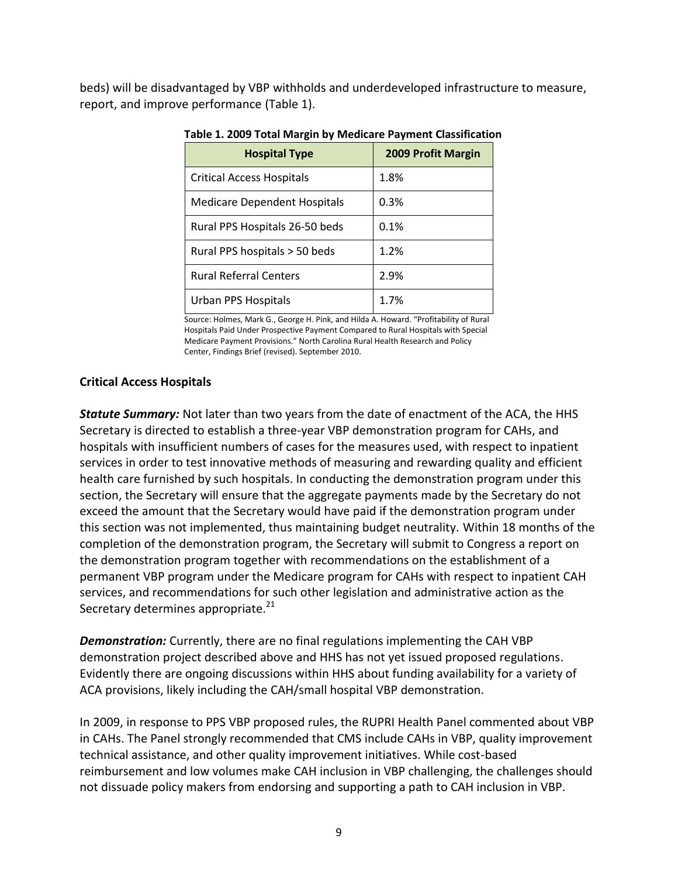beds) will be disadvantaged by VBP withholds and underdeveloped infrastructure to measure, report, and improve performance (Table 1).

| <b>Hospital Type</b>                | <b>2009 Profit Margin</b> |
|-------------------------------------|---------------------------|
| <b>Critical Access Hospitals</b>    | 1.8%                      |
| <b>Medicare Dependent Hospitals</b> | 0.3%                      |
| Rural PPS Hospitals 26-50 beds      | 0.1%                      |
| Rural PPS hospitals > 50 beds       | 1.2%                      |
| <b>Rural Referral Centers</b>       | 2.9%                      |
| Urban PPS Hospitals                 | 1.7%                      |

#### **Table 1. 2009 Total Margin by Medicare Payment Classification**

Source: Holmes, Mark G., George H. Pink, and Hilda A. Howard. "Profitability of Rural Hospitals Paid Under Prospective Payment Compared to Rural Hospitals with Special Medicare Payment Provisions." North Carolina Rural Health Research and Policy Center, Findings Brief (revised). September 2010.

#### **Critical Access Hospitals**

*Statute Summary:* Not later than two years from the date of enactment of the ACA, the HHS Secretary is directed to establish a three-year VBP demonstration program for CAHs, and hospitals with insufficient numbers of cases for the measures used, with respect to inpatient services in order to test innovative methods of measuring and rewarding quality and efficient health care furnished by such hospitals. In conducting the demonstration program under this section, the Secretary will ensure that the aggregate payments made by the Secretary do not exceed the amount that the Secretary would have paid if the demonstration program under this section was not implemented, thus maintaining budget neutrality. Within 18 months of the completion of the demonstration program, the Secretary will submit to Congress a report on the demonstration program together with recommendations on the establishment of a permanent VBP program under the Medicare program for CAHs with respect to inpatient CAH services, and recommendations for such other legislation and administrative action as the Secretary determines appropriate.<sup>21</sup>

*Demonstration:* Currently, there are no final regulations implementing the CAH VBP demonstration project described above and HHS has not yet issued proposed regulations. Evidently there are ongoing discussions within HHS about funding availability for a variety of ACA provisions, likely including the CAH/small hospital VBP demonstration.

In 2009, in response to PPS VBP proposed rules, the RUPRI Health Panel commented about VBP in CAHs. The Panel strongly recommended that CMS include CAHs in VBP, quality improvement technical assistance, and other quality improvement initiatives. While cost-based reimbursement and low volumes make CAH inclusion in VBP challenging, the challenges should not dissuade policy makers from endorsing and supporting a path to CAH inclusion in VBP.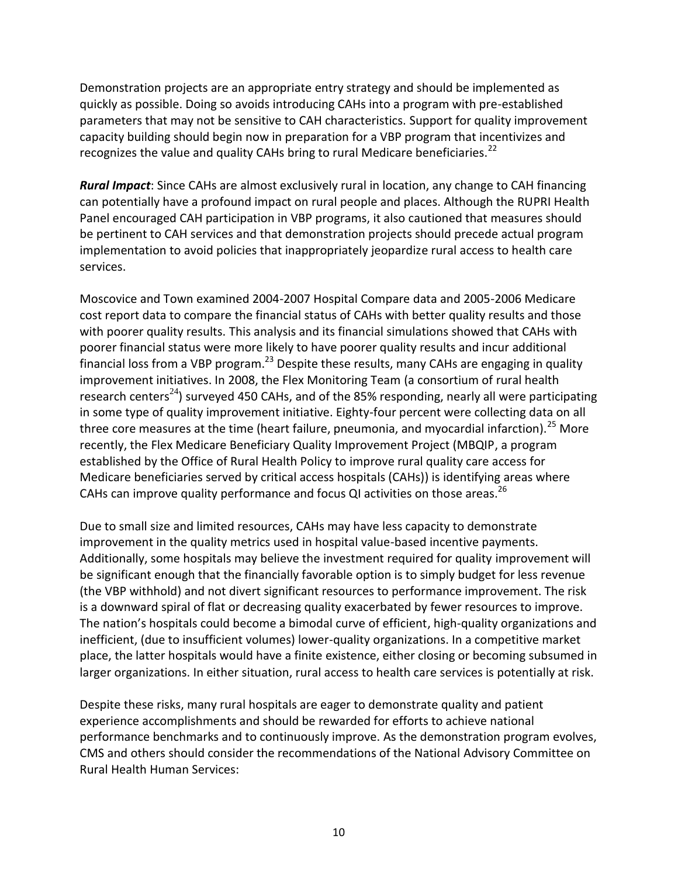Demonstration projects are an appropriate entry strategy and should be implemented as quickly as possible. Doing so avoids introducing CAHs into a program with pre-established parameters that may not be sensitive to CAH characteristics. Support for quality improvement capacity building should begin now in preparation for a VBP program that incentivizes and recognizes the value and quality CAHs bring to rural Medicare beneficiaries.<sup>22</sup>

*Rural Impact*: Since CAHs are almost exclusively rural in location, any change to CAH financing can potentially have a profound impact on rural people and places. Although the RUPRI Health Panel encouraged CAH participation in VBP programs, it also cautioned that measures should be pertinent to CAH services and that demonstration projects should precede actual program implementation to avoid policies that inappropriately jeopardize rural access to health care services.

Moscovice and Town examined 2004-2007 Hospital Compare data and 2005-2006 Medicare cost report data to compare the financial status of CAHs with better quality results and those with poorer quality results. This analysis and its financial simulations showed that CAHs with poorer financial status were more likely to have poorer quality results and incur additional financial loss from a VBP program.<sup>23</sup> Despite these results, many CAHs are engaging in quality improvement initiatives. In 2008, the Flex Monitoring Team (a consortium of rural health research centers<sup>24</sup>) surveyed 450 CAHs, and of the 85% responding, nearly all were participating in some type of quality improvement initiative. Eighty-four percent were collecting data on all three core measures at the time (heart failure, pneumonia, and myocardial infarction).<sup>25</sup> More recently, the Flex Medicare Beneficiary Quality Improvement Project (MBQIP, a program established by the Office of Rural Health Policy to improve rural quality care access for Medicare beneficiaries served by critical access hospitals (CAHs)) is identifying areas where CAHs can improve quality performance and focus QI activities on those areas.<sup>26</sup>

Due to small size and limited resources, CAHs may have less capacity to demonstrate improvement in the quality metrics used in hospital value-based incentive payments. Additionally, some hospitals may believe the investment required for quality improvement will be significant enough that the financially favorable option is to simply budget for less revenue (the VBP withhold) and not divert significant resources to performance improvement. The risk is a downward spiral of flat or decreasing quality exacerbated by fewer resources to improve. The nation's hospitals could become a bimodal curve of efficient, high-quality organizations and inefficient, (due to insufficient volumes) lower-quality organizations. In a competitive market place, the latter hospitals would have a finite existence, either closing or becoming subsumed in larger organizations. In either situation, rural access to health care services is potentially at risk.

Despite these risks, many rural hospitals are eager to demonstrate quality and patient experience accomplishments and should be rewarded for efforts to achieve national performance benchmarks and to continuously improve. As the demonstration program evolves, CMS and others should consider the recommendations of the National Advisory Committee on Rural Health Human Services: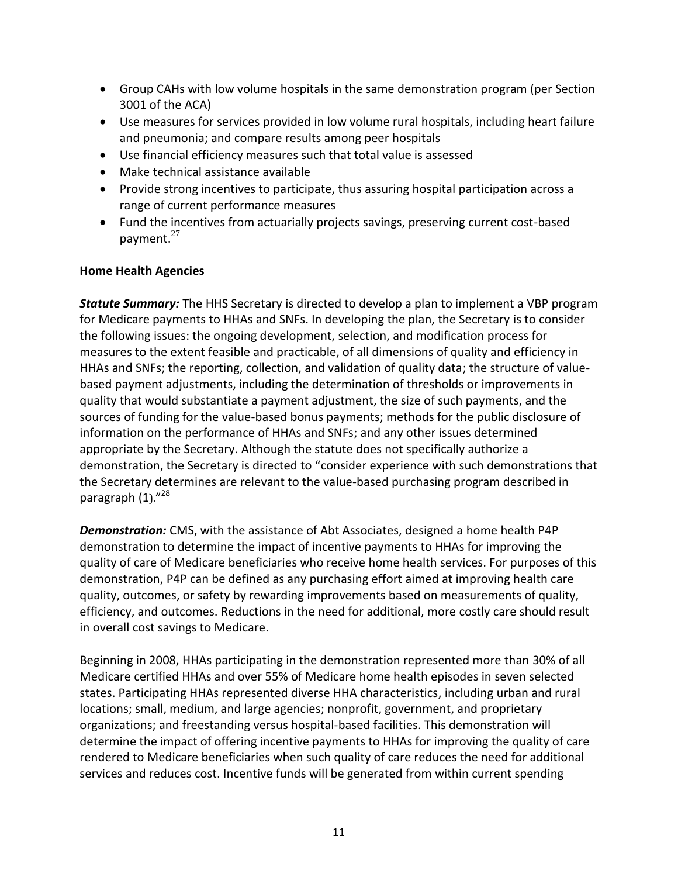- Group CAHs with low volume hospitals in the same demonstration program (per Section 3001 of the ACA)
- Use measures for services provided in low volume rural hospitals, including heart failure and pneumonia; and compare results among peer hospitals
- Use financial efficiency measures such that total value is assessed
- Make technical assistance available
- Provide strong incentives to participate, thus assuring hospital participation across a range of current performance measures
- Fund the incentives from actuarially projects savings, preserving current cost-based payment.<sup>27</sup>

#### **Home Health Agencies**

*Statute Summary:* The HHS Secretary is directed to develop a plan to implement a VBP program for Medicare payments to HHAs and SNFs. In developing the plan, the Secretary is to consider the following issues: the ongoing development, selection, and modification process for measures to the extent feasible and practicable, of all dimensions of quality and efficiency in HHAs and SNFs; the reporting, collection, and validation of quality data; the structure of valuebased payment adjustments, including the determination of thresholds or improvements in quality that would substantiate a payment adjustment, the size of such payments, and the sources of funding for the value-based bonus payments; methods for the public disclosure of information on the performance of HHAs and SNFs; and any other issues determined appropriate by the Secretary. Although the statute does not specifically authorize a demonstration, the Secretary is directed to "consider experience with such demonstrations that the Secretary determines are relevant to the value-based purchasing program described in paragraph (1)."<sup>28</sup>

*Demonstration:* CMS, with the assistance of Abt Associates, designed a home health P4P demonstration to determine the impact of incentive payments to HHAs for improving the quality of care of Medicare beneficiaries who receive home health services. For purposes of this demonstration, P4P can be defined as any purchasing effort aimed at improving health care quality, outcomes, or safety by rewarding improvements based on measurements of quality, efficiency, and outcomes. Reductions in the need for additional, more costly care should result in overall cost savings to Medicare.

Beginning in 2008, HHAs participating in the demonstration represented more than 30% of all Medicare certified HHAs and over 55% of Medicare home health episodes in seven selected states. Participating HHAs represented diverse HHA characteristics, including urban and rural locations; small, medium, and large agencies; nonprofit, government, and proprietary organizations; and freestanding versus hospital-based facilities. This demonstration will determine the impact of offering incentive payments to HHAs for improving the quality of care rendered to Medicare beneficiaries when such quality of care reduces the need for additional services and reduces cost. Incentive funds will be generated from within current spending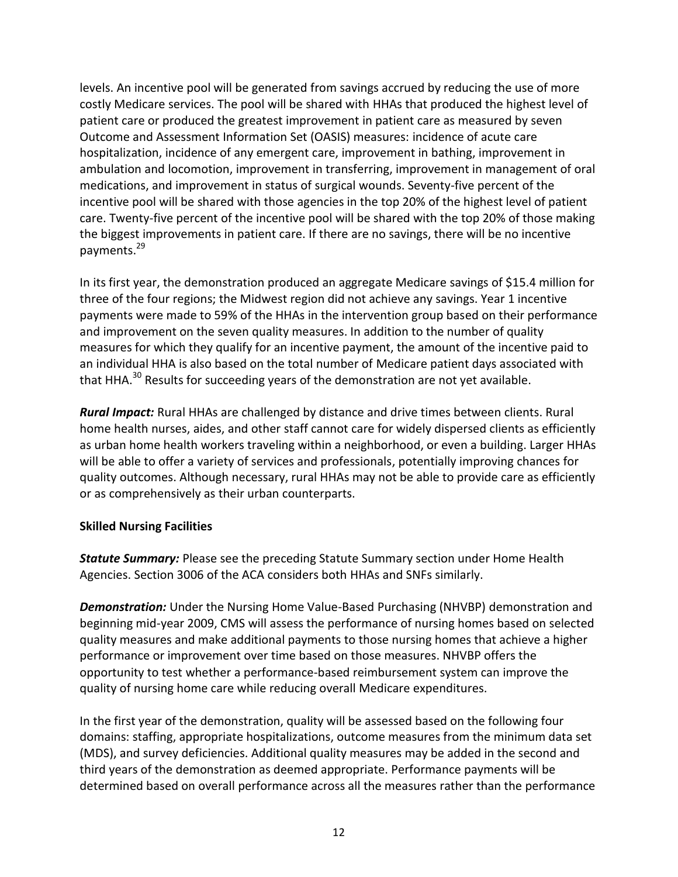levels. An incentive pool will be generated from savings accrued by reducing the use of more costly Medicare services. The pool will be shared with HHAs that produced the highest level of patient care or produced the greatest improvement in patient care as measured by seven Outcome and Assessment Information Set (OASIS) measures: incidence of acute care hospitalization, incidence of any emergent care, improvement in bathing, improvement in ambulation and locomotion, improvement in transferring, improvement in management of oral medications, and improvement in status of surgical wounds. Seventy-five percent of the incentive pool will be shared with those agencies in the top 20% of the highest level of patient care. Twenty-five percent of the incentive pool will be shared with the top 20% of those making the biggest improvements in patient care. If there are no savings, there will be no incentive payments.<sup>29</sup>

In its first year, the demonstration produced an aggregate Medicare savings of \$15.4 million for three of the four regions; the Midwest region did not achieve any savings. Year 1 incentive payments were made to 59% of the HHAs in the intervention group based on their performance and improvement on the seven quality measures. In addition to the number of quality measures for which they qualify for an incentive payment, the amount of the incentive paid to an individual HHA is also based on the total number of Medicare patient days associated with that HHA. $^{30}$  Results for succeeding years of the demonstration are not yet available.

*Rural Impact:* Rural HHAs are challenged by distance and drive times between clients. Rural home health nurses, aides, and other staff cannot care for widely dispersed clients as efficiently as urban home health workers traveling within a neighborhood, or even a building. Larger HHAs will be able to offer a variety of services and professionals, potentially improving chances for quality outcomes. Although necessary, rural HHAs may not be able to provide care as efficiently or as comprehensively as their urban counterparts.

#### **Skilled Nursing Facilities**

*Statute Summary:* Please see the preceding Statute Summary section under Home Health Agencies. Section 3006 of the ACA considers both HHAs and SNFs similarly.

*Demonstration:* Under the Nursing Home Value-Based Purchasing (NHVBP) demonstration and beginning mid-year 2009, CMS will assess the performance of nursing homes based on selected quality measures and make additional payments to those nursing homes that achieve a higher performance or improvement over time based on those measures. NHVBP offers the opportunity to test whether a performance-based reimbursement system can improve the quality of nursing home care while reducing overall Medicare expenditures.

In the first year of the demonstration, quality will be assessed based on the following four domains: staffing, appropriate hospitalizations, outcome measures from the minimum data set (MDS), and survey deficiencies. Additional quality measures may be added in the second and third years of the demonstration as deemed appropriate. Performance payments will be determined based on overall performance across all the measures rather than the performance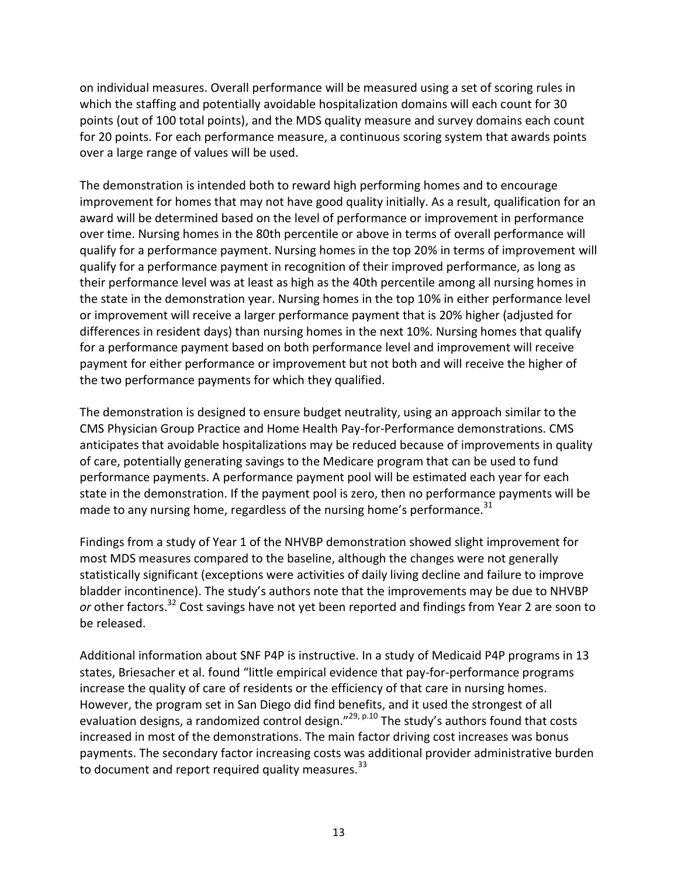on individual measures. Overall performance will be measured using a set of scoring rules in which the staffing and potentially avoidable hospitalization domains will each count for 30 points (out of 100 total points), and the MDS quality measure and survey domains each count for 20 points. For each performance measure, a continuous scoring system that awards points over a large range of values will be used.

The demonstration is intended both to reward high performing homes and to encourage improvement for homes that may not have good quality initially. As a result, qualification for an award will be determined based on the level of performance or improvement in performance over time. Nursing homes in the 80th percentile or above in terms of overall performance will qualify for a performance payment. Nursing homes in the top 20% in terms of improvement will qualify for a performance payment in recognition of their improved performance, as long as their performance level was at least as high as the 40th percentile among all nursing homes in the state in the demonstration year. Nursing homes in the top 10% in either performance level or improvement will receive a larger performance payment that is 20% higher (adjusted for differences in resident days) than nursing homes in the next 10%. Nursing homes that qualify for a performance payment based on both performance level and improvement will receive payment for either performance or improvement but not both and will receive the higher of the two performance payments for which they qualified.

The demonstration is designed to ensure budget neutrality, using an approach similar to the CMS Physician Group Practice and Home Health Pay-for-Performance demonstrations. CMS anticipates that avoidable hospitalizations may be reduced because of improvements in quality of care, potentially generating savings to the Medicare program that can be used to fund performance payments. A performance payment pool will be estimated each year for each state in the demonstration. If the payment pool is zero, then no performance payments will be made to any nursing home, regardless of the nursing home's performance. $31$ 

Findings from a study of Year 1 of the NHVBP demonstration showed slight improvement for most MDS measures compared to the baseline, although the changes were not generally statistically significant (exceptions were activities of daily living decline and failure to improve bladder incontinence). The study's authors note that the improvements may be due to NHVBP *or* other factors.<sup>32</sup> Cost savings have not yet been reported and findings from Year 2 are soon to be released.

Additional information about SNF P4P is instructive. In a study of Medicaid P4P programs in 13 states, Briesacher et al. found "little empirical evidence that pay-for-performance programs increase the quality of care of residents or the efficiency of that care in nursing homes. However, the program set in San Diego did find benefits, and it used the strongest of all evaluation designs, a randomized control design."<sup>29, p.10</sup> The study's authors found that costs increased in most of the demonstrations. The main factor driving cost increases was bonus payments. The secondary factor increasing costs was additional provider administrative burden to document and report required quality measures.<sup>33</sup>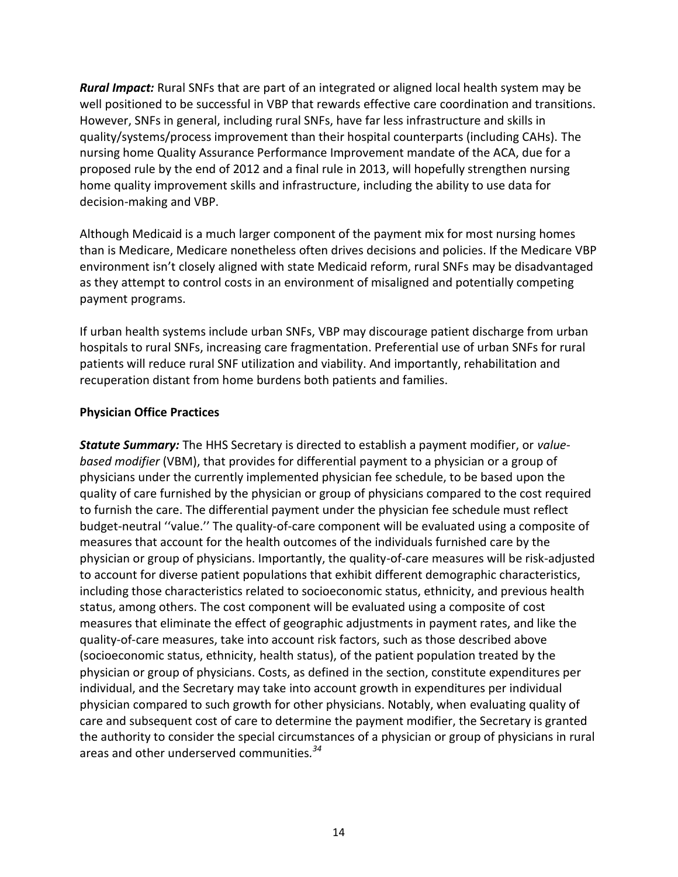*Rural Impact:* Rural SNFs that are part of an integrated or aligned local health system may be well positioned to be successful in VBP that rewards effective care coordination and transitions. However, SNFs in general, including rural SNFs, have far less infrastructure and skills in quality/systems/process improvement than their hospital counterparts (including CAHs). The nursing home Quality Assurance Performance Improvement mandate of the ACA, due for a proposed rule by the end of 2012 and a final rule in 2013, will hopefully strengthen nursing home quality improvement skills and infrastructure, including the ability to use data for decision-making and VBP.

Although Medicaid is a much larger component of the payment mix for most nursing homes than is Medicare, Medicare nonetheless often drives decisions and policies. If the Medicare VBP environment isn't closely aligned with state Medicaid reform, rural SNFs may be disadvantaged as they attempt to control costs in an environment of misaligned and potentially competing payment programs.

If urban health systems include urban SNFs, VBP may discourage patient discharge from urban hospitals to rural SNFs, increasing care fragmentation. Preferential use of urban SNFs for rural patients will reduce rural SNF utilization and viability. And importantly, rehabilitation and recuperation distant from home burdens both patients and families.

#### **Physician Office Practices**

*Statute Summary:* The HHS Secretary is directed to establish a payment modifier, or *valuebased modifier* (VBM), that provides for differential payment to a physician or a group of physicians under the currently implemented physician fee schedule, to be based upon the quality of care furnished by the physician or group of physicians compared to the cost required to furnish the care. The differential payment under the physician fee schedule must reflect budget-neutral ''value.'' The quality-of-care component will be evaluated using a composite of measures that account for the health outcomes of the individuals furnished care by the physician or group of physicians. Importantly, the quality-of-care measures will be risk-adjusted to account for diverse patient populations that exhibit different demographic characteristics, including those characteristics related to socioeconomic status, ethnicity, and previous health status, among others. The cost component will be evaluated using a composite of cost measures that eliminate the effect of geographic adjustments in payment rates, and like the quality-of-care measures, take into account risk factors, such as those described above (socioeconomic status, ethnicity, health status), of the patient population treated by the physician or group of physicians. Costs, as defined in the section, constitute expenditures per individual, and the Secretary may take into account growth in expenditures per individual physician compared to such growth for other physicians. Notably, when evaluating quality of care and subsequent cost of care to determine the payment modifier, the Secretary is granted the authority to consider the special circumstances of a physician or group of physicians in rural areas and other underserved communities*. 34*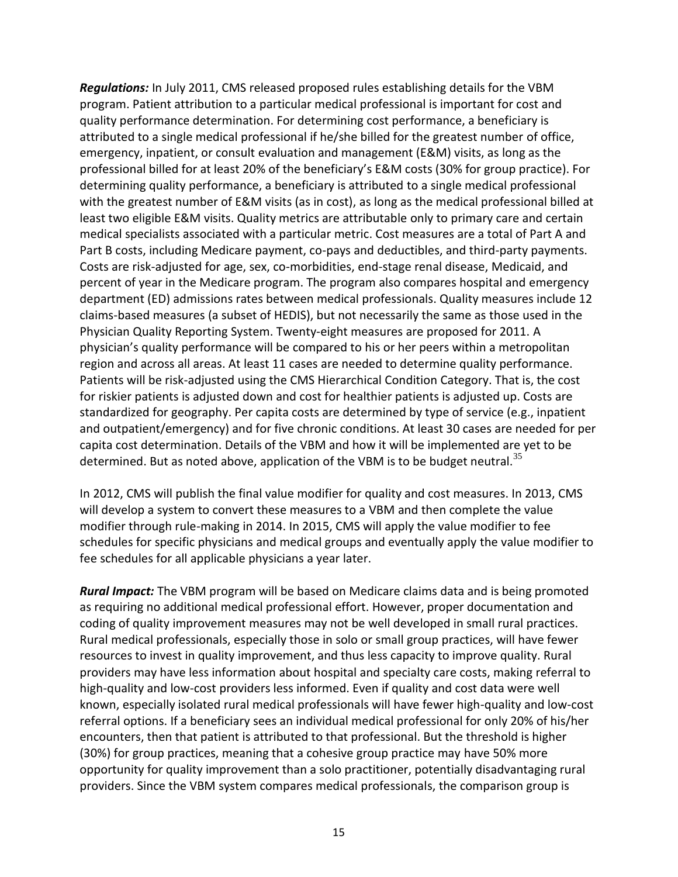*Regulations:* In July 2011, CMS released proposed rules establishing details for the VBM program. Patient attribution to a particular medical professional is important for cost and quality performance determination. For determining cost performance, a beneficiary is attributed to a single medical professional if he/she billed for the greatest number of office, emergency, inpatient, or consult evaluation and management (E&M) visits, as long as the professional billed for at least 20% of the beneficiary's E&M costs (30% for group practice). For determining quality performance, a beneficiary is attributed to a single medical professional with the greatest number of E&M visits (as in cost), as long as the medical professional billed at least two eligible E&M visits. Quality metrics are attributable only to primary care and certain medical specialists associated with a particular metric. Cost measures are a total of Part A and Part B costs, including Medicare payment, co-pays and deductibles, and third-party payments. Costs are risk-adjusted for age, sex, co-morbidities, end-stage renal disease, Medicaid, and percent of year in the Medicare program. The program also compares hospital and emergency department (ED) admissions rates between medical professionals. Quality measures include 12 claims-based measures (a subset of HEDIS), but not necessarily the same as those used in the Physician Quality Reporting System. Twenty-eight measures are proposed for 2011. A physician's quality performance will be compared to his or her peers within a metropolitan region and across all areas. At least 11 cases are needed to determine quality performance. Patients will be risk-adjusted using the CMS Hierarchical Condition Category. That is, the cost for riskier patients is adjusted down and cost for healthier patients is adjusted up. Costs are standardized for geography. Per capita costs are determined by type of service (e.g., inpatient and outpatient/emergency) and for five chronic conditions. At least 30 cases are needed for per capita cost determination. Details of the VBM and how it will be implemented are yet to be determined. But as noted above, application of the VBM is to be budget neutral.<sup>35</sup>

In 2012, CMS will publish the final value modifier for quality and cost measures. In 2013, CMS will develop a system to convert these measures to a VBM and then complete the value modifier through rule-making in 2014. In 2015, CMS will apply the value modifier to fee schedules for specific physicians and medical groups and eventually apply the value modifier to fee schedules for all applicable physicians a year later.

*Rural Impact:* The VBM program will be based on Medicare claims data and is being promoted as requiring no additional medical professional effort. However, proper documentation and coding of quality improvement measures may not be well developed in small rural practices. Rural medical professionals, especially those in solo or small group practices, will have fewer resources to invest in quality improvement, and thus less capacity to improve quality. Rural providers may have less information about hospital and specialty care costs, making referral to high-quality and low-cost providers less informed. Even if quality and cost data were well known, especially isolated rural medical professionals will have fewer high-quality and low-cost referral options. If a beneficiary sees an individual medical professional for only 20% of his/her encounters, then that patient is attributed to that professional. But the threshold is higher (30%) for group practices, meaning that a cohesive group practice may have 50% more opportunity for quality improvement than a solo practitioner, potentially disadvantaging rural providers. Since the VBM system compares medical professionals, the comparison group is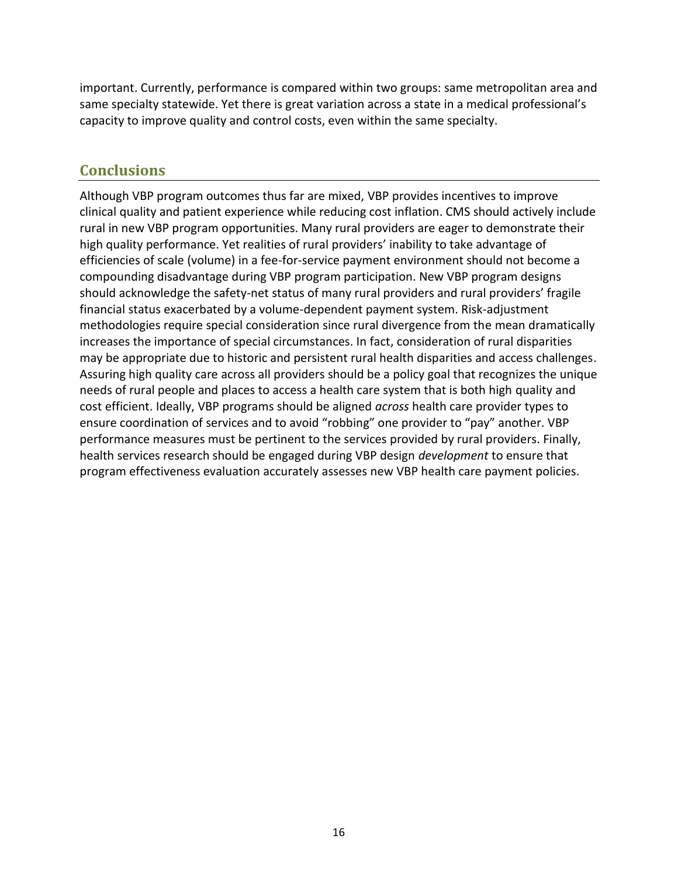important. Currently, performance is compared within two groups: same metropolitan area and same specialty statewide. Yet there is great variation across a state in a medical professional's capacity to improve quality and control costs, even within the same specialty.

### **Conclusions**

Although VBP program outcomes thus far are mixed, VBP provides incentives to improve clinical quality and patient experience while reducing cost inflation. CMS should actively include rural in new VBP program opportunities. Many rural providers are eager to demonstrate their high quality performance. Yet realities of rural providers' inability to take advantage of efficiencies of scale (volume) in a fee-for-service payment environment should not become a compounding disadvantage during VBP program participation. New VBP program designs should acknowledge the safety-net status of many rural providers and rural providers' fragile financial status exacerbated by a volume-dependent payment system. Risk-adjustment methodologies require special consideration since rural divergence from the mean dramatically increases the importance of special circumstances. In fact, consideration of rural disparities may be appropriate due to historic and persistent rural health disparities and access challenges. Assuring high quality care across all providers should be a policy goal that recognizes the unique needs of rural people and places to access a health care system that is both high quality and cost efficient. Ideally, VBP programs should be aligned *across* health care provider types to ensure coordination of services and to avoid "robbing" one provider to "pay" another. VBP performance measures must be pertinent to the services provided by rural providers. Finally, health services research should be engaged during VBP design *development* to ensure that program effectiveness evaluation accurately assesses new VBP health care payment policies.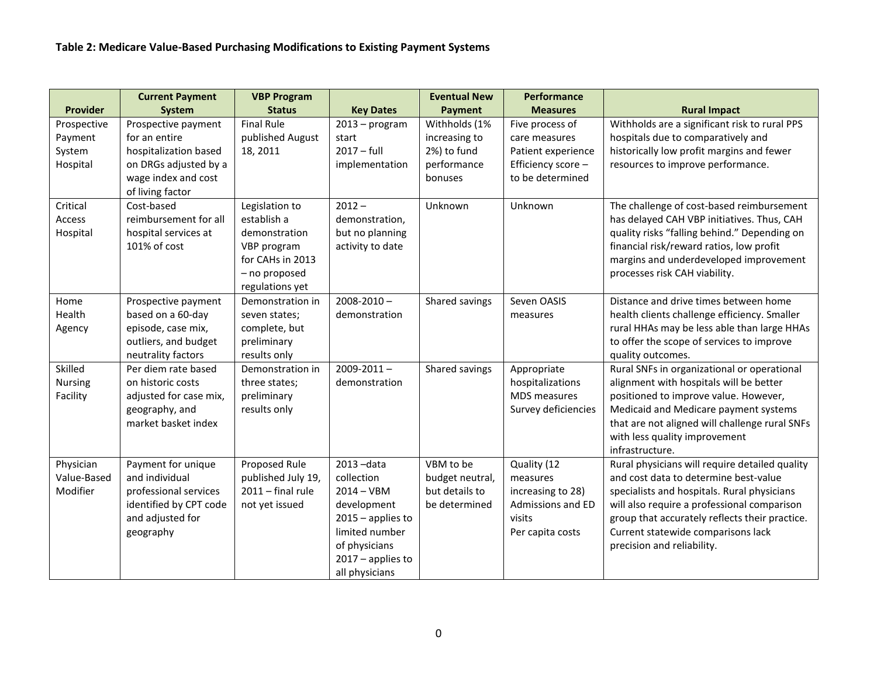|                 | <b>Current Payment</b> | <b>VBP Program</b>  |                                       | <b>Eventual New</b> | Performance         |                                                                                      |
|-----------------|------------------------|---------------------|---------------------------------------|---------------------|---------------------|--------------------------------------------------------------------------------------|
| <b>Provider</b> | System                 | <b>Status</b>       | <b>Key Dates</b>                      | Payment             | <b>Measures</b>     | <b>Rural Impact</b>                                                                  |
| Prospective     | Prospective payment    | <b>Final Rule</b>   | $2013 - program$                      | Withholds (1%       | Five process of     | Withholds are a significant risk to rural PPS                                        |
| Payment         | for an entire          | published August    | start                                 | increasing to       | care measures       | hospitals due to comparatively and                                                   |
| System          | hospitalization based  | 18, 2011            | $2017 - full$                         | 2%) to fund         | Patient experience  | historically low profit margins and fewer                                            |
| Hospital        | on DRGs adjusted by a  |                     | implementation                        | performance         | Efficiency score -  | resources to improve performance.                                                    |
|                 | wage index and cost    |                     |                                       | bonuses             | to be determined    |                                                                                      |
|                 | of living factor       |                     |                                       |                     |                     |                                                                                      |
| Critical        | Cost-based             | Legislation to      | $2012 -$                              | Unknown             | Unknown             | The challenge of cost-based reimbursement                                            |
| Access          | reimbursement for all  | establish a         | demonstration,                        |                     |                     | has delayed CAH VBP initiatives. Thus, CAH                                           |
| Hospital        | hospital services at   | demonstration       | but no planning                       |                     |                     | quality risks "falling behind." Depending on                                         |
|                 | 101% of cost           | VBP program         | activity to date                      |                     |                     | financial risk/reward ratios, low profit                                             |
|                 |                        | for CAHs in 2013    |                                       |                     |                     | margins and underdeveloped improvement                                               |
|                 |                        | - no proposed       |                                       |                     |                     | processes risk CAH viability.                                                        |
|                 |                        | regulations yet     |                                       |                     |                     |                                                                                      |
| Home            | Prospective payment    | Demonstration in    | $2008 - 2010 -$                       | Shared savings      | Seven OASIS         | Distance and drive times between home                                                |
| Health          | based on a 60-day      | seven states;       | demonstration                         |                     | measures            | health clients challenge efficiency. Smaller                                         |
| Agency          | episode, case mix,     | complete, but       |                                       |                     |                     | rural HHAs may be less able than large HHAs                                          |
|                 | outliers, and budget   | preliminary         |                                       |                     |                     | to offer the scope of services to improve                                            |
|                 | neutrality factors     | results only        |                                       |                     |                     | quality outcomes.                                                                    |
| Skilled         | Per diem rate based    | Demonstration in    | $2009 - 2011 -$                       | Shared savings      | Appropriate         | Rural SNFs in organizational or operational                                          |
| Nursing         | on historic costs      | three states;       | demonstration                         |                     | hospitalizations    | alignment with hospitals will be better                                              |
| Facility        | adjusted for case mix, | preliminary         |                                       |                     | MDS measures        | positioned to improve value. However,                                                |
|                 | geography, and         | results only        |                                       |                     | Survey deficiencies | Medicaid and Medicare payment systems                                                |
|                 | market basket index    |                     |                                       |                     |                     | that are not aligned will challenge rural SNFs                                       |
|                 |                        |                     |                                       |                     |                     | with less quality improvement                                                        |
|                 |                        |                     |                                       |                     |                     | infrastructure.                                                                      |
| Physician       | Payment for unique     | Proposed Rule       | 2013-data                             | VBM to be           | Quality (12         | Rural physicians will require detailed quality                                       |
| Value-Based     | and individual         | published July 19,  | collection                            | budget neutral,     | measures            | and cost data to determine best-value                                                |
| Modifier        | professional services  | $2011 - final rule$ | $2014 - VBM$                          | but details to      | increasing to 28)   | specialists and hospitals. Rural physicians                                          |
|                 | identified by CPT code | not yet issued      | development                           | be determined       | Admissions and ED   | will also require a professional comparison                                          |
|                 | and adjusted for       |                     | $2015$ – applies to<br>limited number |                     | visits              | group that accurately reflects their practice.<br>Current statewide comparisons lack |
|                 | geography              |                     | of physicians                         |                     | Per capita costs    | precision and reliability.                                                           |
|                 |                        |                     | $2017$ – applies to                   |                     |                     |                                                                                      |
|                 |                        |                     |                                       |                     |                     |                                                                                      |
|                 |                        |                     | all physicians                        |                     |                     |                                                                                      |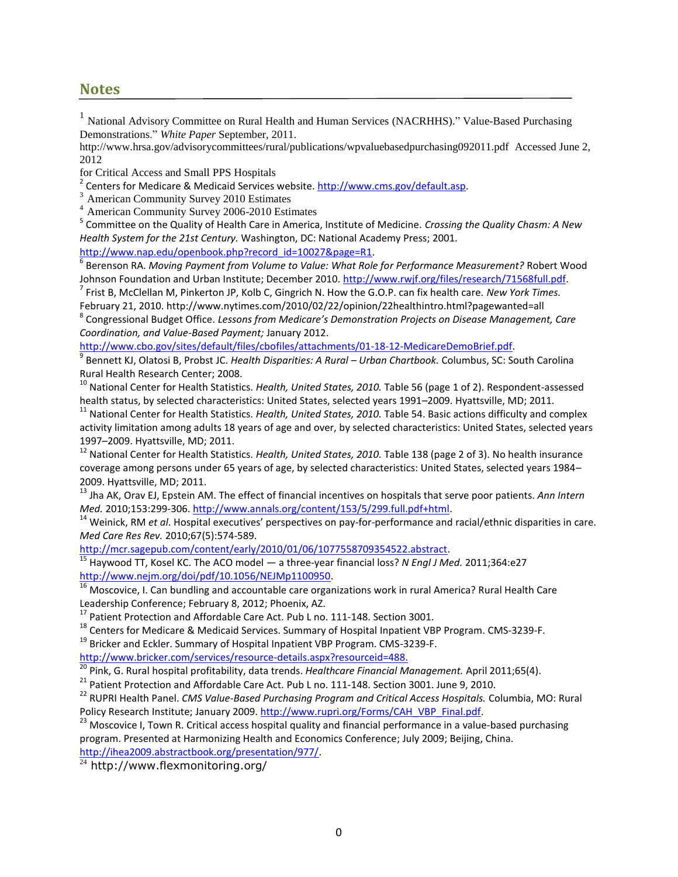#### **Notes**

<sup>1</sup> National Advisory Committee on Rural Health and Human Services (NACRHHS)." Value-Based Purchasing Demonstrations." *White Paper* September, 2011.

http://www.hrsa.gov/advisorycommittees/rural/publications/wpvaluebasedpurchasing092011.pdf Accessed June 2, 2012

for Critical Access and Small PPS Hospitals

<sup>2</sup> Centers for Medicare & Medicaid Services website. [http://www.cms.gov/default.asp.](http://www.cms.gov/default.asp)

<sup>3</sup> American Community Survey 2010 Estimates

<sup>4</sup> American Community Survey 2006-2010 Estimates

5 Committee on the Quality of Health Care in America, Institute of Medicine. *Crossing the Quality Chasm: A New Health System for the 21st Century.* Washington, DC: National Academy Press; 2001.

[http://www.nap.edu/openbook.php?record\\_id=10027&page=R1.](http://www.nap.edu/openbook.php?record_id=10027&page=R1)

6 Berenson RA. *Moving Payment from Volume to Value: What Role for Performance Measurement?* Robert Wood Johnson Foundation and Urban Institute; December 2010. [http://www.rwjf.org/files/research/71568full.pdf.](http://www.rwjf.org/files/research/71568full.pdf)

7 Frist B, McClellan M, Pinkerton JP, Kolb C, Gingrich N. How the G.O.P. can fix health care. *New York Times.* February 21, 2010. http://www.nytimes.com/2010/02/22/opinion/22healthintro.html?pagewanted=all

8 Congressional Budget Office. *Lessons from Medicare's Demonstration Projects on Disease Management, Care Coordination, and Value-Based Payment;* January 2012.

[http://www.cbo.gov/sites/default/files/cbofiles/attachments/01-18-12-MedicareDemoBrief.pdf.](http://www.cbo.gov/sites/default/files/cbofiles/attachments/01-18-12-MedicareDemoBrief.pdf)

9 Bennett KJ, Olatosi B, Probst JC. *Health Disparities: A Rural – Urban Chartbook.* Columbus, SC: South Carolina Rural Health Research Center; 2008.

<sup>10</sup> National Center for Health Statistics. *Health, United States, 2010.* Table 56 (page 1 of 2). Respondent-assessed health status, by selected characteristics: United States, selected years 1991–2009. Hyattsville, MD; 2011.

<sup>11</sup> National Center for Health Statistics. *Health, United States, 2010*. Table 54. Basic actions difficulty and complex activity limitation among adults 18 years of age and over, by selected characteristics: United States, selected years 1997–2009. Hyattsville, MD; 2011.

<sup>12</sup> National Center for Health Statistics. *Health, United States, 2010.* Table 138 (page 2 of 3). No health insurance coverage among persons under 65 years of age, by selected characteristics: United States, selected years 1984– 2009. Hyattsville, MD; 2011.

<sup>13</sup> Jha AK, Orav EJ, Epstein AM. The effect of financial incentives on hospitals that serve poor patients. *Ann Intern Med.* 2010;153:299-306. [http://www.annals.org/content/153/5/299.full.pdf+html.](http://www.annals.org/content/153/5/299.full.pdf+html)

<sup>14</sup> Weinick, RM *et al*. Hospital executives' perspectives on pay-for-performance and racial/ethnic disparities in care. *Med Care Res Rev.* 2010;67(5):574-589.

[http://mcr.sagepub.com/content/early/2010/01/06/1077558709354522.abstract.](http://mcr.sagepub.com/content/early/2010/01/06/1077558709354522.abstract)

<sup>15</sup> Haywood TT, Kosel KC. The ACO model — a three-year financial loss? *N Engl J Med.* 2011;364:e27 [http://www.nejm.org/doi/pdf/10.1056/NEJMp1100950.](http://www.nejm.org/doi/pdf/10.1056/NEJMp1100950)

<sup>16</sup> Moscovice, I. Can bundling and accountable care organizations work in rural America? Rural Health Care Leadership Conference; February 8, 2012; Phoenix, AZ.

<sup>17</sup> Patient Protection and Affordable Care Act. Pub L no. 111-148. Section 3001.

<sup>18</sup> Centers for Medicare & Medicaid Services. Summary of Hospital Inpatient VBP Program. CMS-3239-F.

<sup>19</sup> Bricker and Eckler. Summary of Hospital Inpatient VBP Program. CMS-3239-F.

[http://www.bricker.com/services/resource-details.aspx?resourceid=488.](http://www.bricker.com/services/resource-details.aspx?resourceid=488)

<sup>20</sup> Pink, G. Rural hospital profitability, data trends. *Healthcare Financial Management.* April 2011;65(4).

<sup>21</sup> Patient Protection and Affordable Care Act. Pub L no. 111-148. Section 3001. June 9, 2010.

<sup>22</sup> RUPRI Health Panel. *CMS Value-Based Purchasing Program and Critical Access Hospitals.* Columbia, MO: Rural Policy Research Institute; January 2009. [http://www.rupri.org/Forms/CAH\\_VBP\\_Final.pdf.](http://www.rupri.org/Forms/CAH_VBP_Final.pdf)

<sup>23</sup> Moscovice I, Town R. Critical access hospital quality and financial performance in a value-based purchasing program. Presented at Harmonizing Health and Economics Conference; July 2009; Beijing, China.

[http://ihea2009.abstractbook.org/presentation/977/.](http://ihea2009.abstractbook.org/presentation/977/)

 $\frac{24}{4}$  http://www.flexmonitoring.org/